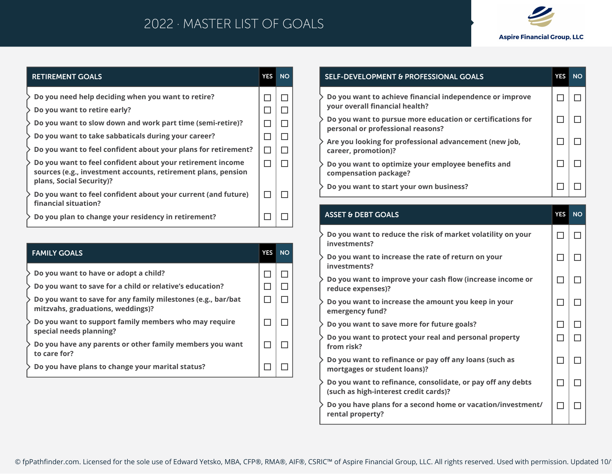## 2022 · MASTER LIST OF GOALS



#### **RETIREMENT GOALS YES NO Do you need help deciding when you want to retire?**  $\Box$  $\Box$ **Do you want to retire early?**  $\Box$  $\Box$ **Do you want to slow down and work part time (semi-retire)?**  $\Box$  $\Box$  $\Box$ **Do you want to take sabbaticals during your career?**  $\Box$ **Do you want to feel confident about your plans for retirement?**  $\Box$  $\Box$ **Do you want to feel confident about your retirement income**   $\Box$  $\Box$ **sources (e.g., investment accounts, retirement plans, pension plans, Social Security)? Do you want to feel confident about your current (and future)**   $\Box$  $\Box$ **financial situation?**  $\Box$  $\Box$ **Do you plan to change your residency in retirement?**

| <b>FAMILY GOALS</b>                                                                               | <b>YES</b> | <b>NO</b> |
|---------------------------------------------------------------------------------------------------|------------|-----------|
| Do you want to have or adopt a child?                                                             |            |           |
| Do you want to save for a child or relative's education?                                          |            |           |
| Do you want to save for any family milestones (e.g., bar/bat<br>mitzvahs, graduations, weddings)? |            |           |
| Do you want to support family members who may require<br>special needs planning?                  |            |           |
| Do you have any parents or other family members you want<br>to care for?                          |            |           |
| Do you have plans to change your marital status?                                                  |            |           |

| <b>SELF-DEVELOPMENT &amp; PROFESSIONAL GOALS</b>                                                | <b>YES</b> | <b>NO</b> |
|-------------------------------------------------------------------------------------------------|------------|-----------|
| Do you want to achieve financial independence or improve<br>your overall financial health?      |            |           |
| Do you want to pursue more education or certifications for<br>personal or professional reasons? |            |           |
| Are you looking for professional advancement (new job,<br>career, promotion)?                   |            |           |
| Do you want to optimize your employee benefits and<br>compensation package?                     |            |           |
| Do you want to start your own business?                                                         |            |           |

#### **ASSET & DEBT GOALS YES NO Do you want to reduce the risk of market volatility on your**  □ □ **investments? Do you want to increase the rate of return on your**   $\Box$ □ **investments? Do you want to improve your cash flow (increase income or**   $\Box$ П **reduce expenses)? Do you want to increase the amount you keep in your**   $\Box$ □ **emergency fund? Do you want to save more for future goals?**  $\Box$  $\Box$ **Do you want to protect your real and personal property**   $\Box$  $\Box$ **from risk? Do you want to refinance or pay off any loans (such as**   $\Box$  $\Box$ **mortgages or student loans)? Do you want to refinance, consolidate, or pay off any debts**   $\Box$ П **(such as high-interest credit cards)? Do you have plans for a second home or vacation/investment/**   $\Box$ □

**rental property?**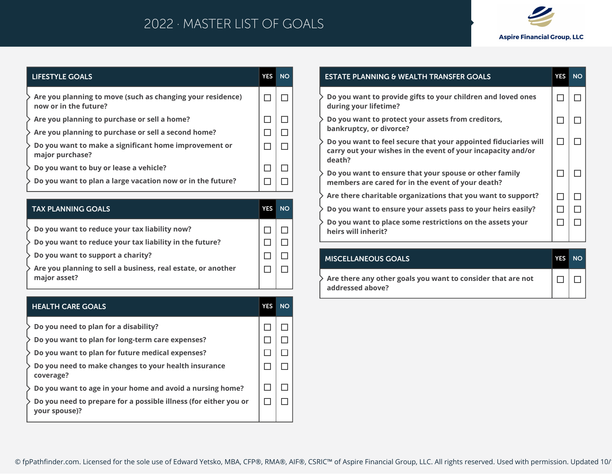# 2022 · MASTER LIST OF GOALS



| LIFESTYLE GOALS                                                                     | <b>YES</b> | <b>NO</b> |
|-------------------------------------------------------------------------------------|------------|-----------|
| Are you planning to move (such as changing your residence)<br>now or in the future? |            |           |
| $\geq$ Are you planning to purchase or sell a home?                                 |            |           |
| $\geq$ Are you planning to purchase or sell a second home?                          |            |           |
| Do you want to make a significant home improvement or<br>major purchase?            |            |           |
| Do you want to buy or lease a vehicle?                                              |            |           |
| Do you want to plan a large vacation now or in the future?                          |            |           |

| <b>TAX PLANNING GOALS</b>                                                    | YES | <b>NO</b> |
|------------------------------------------------------------------------------|-----|-----------|
| $>$ Do you want to reduce your tax liability now?                            |     |           |
| $\geqslant$ Do you want to reduce your tax liability in the future?          |     |           |
| $\geqslant$ Do you want to support a charity?                                |     |           |
| Are you planning to sell a business, real estate, or another<br>major asset? |     |           |

| <b>HEALTH CARE GOALS</b>                                                          | <b>YES</b> | <b>NO</b> |
|-----------------------------------------------------------------------------------|------------|-----------|
| Do you need to plan for a disability?                                             |            |           |
| Do you want to plan for long-term care expenses?                                  |            |           |
| Do you want to plan for future medical expenses?                                  |            |           |
| Do you need to make changes to your health insurance<br>coverage?                 |            |           |
| Do you want to age in your home and avoid a nursing home?                         |            |           |
| Do you need to prepare for a possible illness (for either you or<br>your spouse)? |            |           |
|                                                                                   |            |           |

| <b>ESTATE PLANNING &amp; WEALTH TRANSFER GOALS</b>                                                                                        | <b>YES</b> | <b>NO</b> |
|-------------------------------------------------------------------------------------------------------------------------------------------|------------|-----------|
| Do you want to provide gifts to your children and loved ones<br>during your lifetime?                                                     |            |           |
| Do you want to protect your assets from creditors,<br>bankruptcy, or divorce?                                                             |            |           |
| Do you want to feel secure that your appointed fiduciaries will<br>carry out your wishes in the event of your incapacity and/or<br>death? |            |           |
| Do you want to ensure that your spouse or other family<br>members are cared for in the event of your death?                               |            |           |
| Are there charitable organizations that you want to support?                                                                              |            |           |
| Do you want to ensure your assets pass to your heirs easily?                                                                              |            |           |
| Do you want to place some restrictions on the assets your<br>heirs will inherit?                                                          |            |           |
|                                                                                                                                           |            |           |

| <b>MISCELLANEOUS GOALS</b>                                                      | <b>YES</b> | NO |
|---------------------------------------------------------------------------------|------------|----|
| Are there any other goals you want to consider that are not<br>addressed above? |            |    |